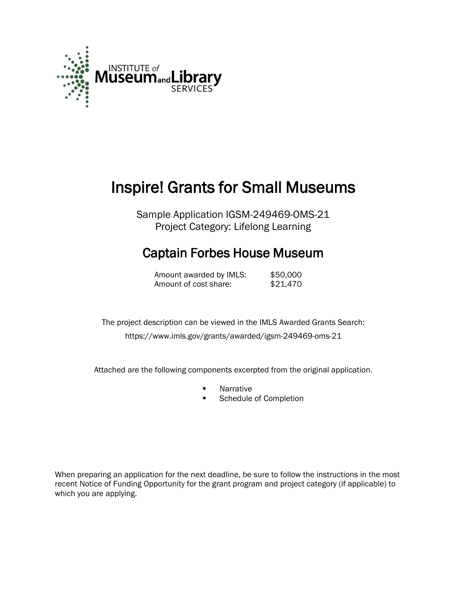

# Inspire! Grants for Small Museums

Sample Application IGSM-249469-OMS-21 Project Category: Lifelong Learning

# Captain Forbes House Museum

Amount awarded by IMLS: \$50,000 Amount of cost share: \$21,470

 The project description can be viewed in the IMLS Awarded Grants Search: <https://www.imls.gov/grants/awarded/igsm-249469-oms-21>

Attached are the following components excerpted from the original application.

- **Narrative**<br>**Report 19**
- Schedule of Completion

When preparing an application for the next deadline, be sure to follow the instructions in the most recent Notice of Funding Opportunity for the grant program and project category (if applicable) to which you are applying.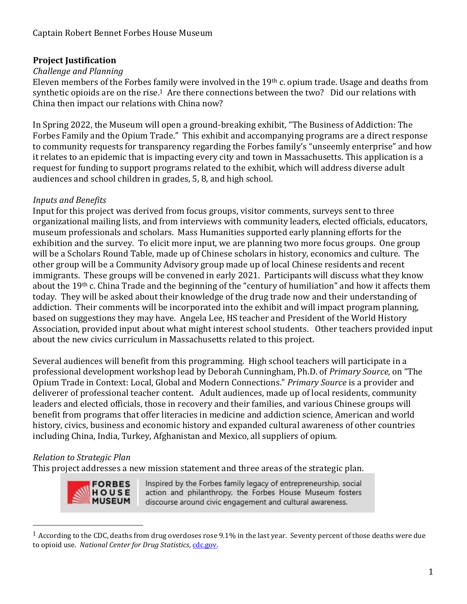### **Project Justification**

#### *Challenge and Planning*

Eleven members of the Forbes family were involved in the 19th c. opium trade. Usage and deaths from synthetic opioids are on the rise.<sup>1</sup> Are there connections between the two? Did our relations with China then impact our relations with China now?

In Spring 2022, the Museum will open a ground-breaking exhibit, "The Business of Addiction: The Forbes Family and the Opium Trade." This exhibit and accompanying programs are a direct response to community requests for transparency regarding the Forbes family's "unseemly enterprise" and how it relates to an epidemic that is impacting every city and town in Massachusetts. This application is a request for funding to support programs related to the exhibit, which will address diverse adult audiences and school children in grades, 5, 8, and high school.

#### *Inputs and Benefits*

Input for this project was derived from focus groups, visitor comments, surveys sent to three organizational mailing lists, and from interviews with community leaders, elected officials, educators, museum professionals and scholars. Mass Humanities supported early planning efforts for the exhibition and the survey. To elicit more input, we are planning two more focus groups. One group will be a Scholars Round Table, made up of Chinese scholars in history, economics and culture. The other group will be a Community Advisory group made up of local Chinese residents and recent immigrants. These groups will be convened in early 2021. Participants will discuss what they know about the 19th c. China Trade and the beginning of the "century of humiliation" and how it affects them today. They will be asked about their knowledge of the drug trade now and their understanding of addiction. Their comments will be incorporated into the exhibit and will impact program planning, based on suggestions they may have. Angela Lee, HS teacher and President of the World History Association, provided input about what might interest school students. Other teachers provided input about the new civics curriculum in Massachusetts related to this project.

Several audiences will benefit from this programming. High school teachers will participate in a professional development workshop lead by Deborah Cunningham, Ph.D. of *Primary Source*, on "The Opium Trade in Context: Local, Global and Modern Connections." *Primary Source* is a provider and deliverer of professional teacher content. Adult audiences, made up of local residents, community leaders and elected officials, those in recovery and their families, and various Chinese groups will benefit from programs that offer literacies in medicine and addiction science, American and world history, civics, business and economic history and expanded cultural awareness of other countries including China, India, Turkey, Afghanistan and Mexico, all suppliers of opium.

#### *Relation to Strategic Plan*

 $\overline{a}$ 

This project addresses a new mission statement and three areas of the strategic plan.



Inspired by the Forbes family legacy of entrepreneurship, social action and philanthropy, the Forbes House Museum fosters discourse around civic engagement and cultural awareness.

<sup>1</sup> According to the CDC, deaths from drug overdoses rose 9.1% in the last year. Seventy percent of those deaths were due to opioid use. *National Center for Drug Statistics*, cdc.gov.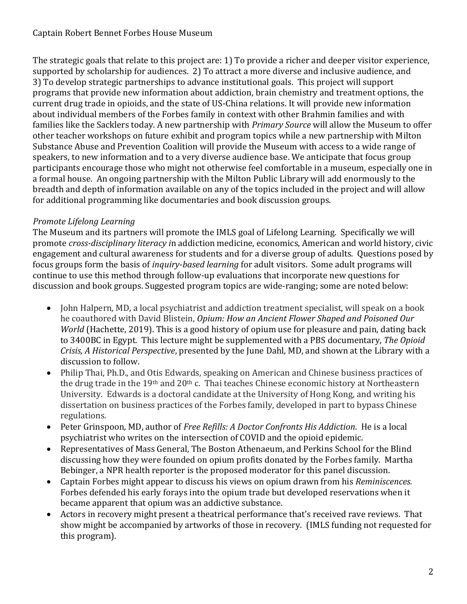The strategic goals that relate to this project are: 1) To provide a richer and deeper visitor experience, supported by scholarship for audiences. 2) To attract a more diverse and inclusive audience, and 3) To develop strategic partnerships to advance institutional goals. This project will support programs that provide new information about addiction, brain chemistry and treatment options, the current drug trade in opioids, and the state of US-China relations. It will provide new information about individual members of the Forbes family in context with other Brahmin families and with families like the Sacklers today. A new partnership with *Primary Source* will allow the Museum to offer other teacher workshops on future exhibit and program topics while a new partnership with Milton Substance Abuse and Prevention Coalition will provide the Museum with access to a wide range of speakers, to new information and to a very diverse audience base. We anticipate that focus group participants encourage those who might not otherwise feel comfortable in a museum, especially one in a formal house. An ongoing partnership with the Milton Public Library will add enormously to the breadth and depth of information available on any of the topics included in the project and will allow for additional programming like documentaries and book discussion groups.

# *Promote Lifelong Learning*

The Museum and its partners will promote the IMLS goal of Lifelong Learning. Specifically we will promote *cross-disciplinary literacy i*n addiction medicine, economics, American and world history, civic engagement and cultural awareness for students and for a diverse group of adults. Questions posed by focus groups form the basis of *inquiry-based learning* for adult visitors. Some adult programs will continue to use this method through follow-up evaluations that incorporate new questions for discussion and book groups. Suggested program topics are wide-ranging; some are noted below:

- John Halpern, MD, a local psychiatrist and addiction treatment specialist, will speak on a book he coauthored with David Blistein, *[Opium: How an Ancient Flower Shaped and Poisoned Our](https://www.hachettebooks.com/titles/john-h-halpern-md/opium/9780316417655/)  [World](https://www.hachettebooks.com/titles/john-h-halpern-md/opium/9780316417655/)* (Hachette, 2019). This is a good history of opium use for pleasure and pain, dating back to 3400BC in Egypt. This lecture might be supplemented with a PBS documentary, *The Opioid Crisis, A Historical Perspective*, presented by the June Dahl, MD, and shown at the Library with a discussion to follow.
- Philip Thai, Ph.D., and Otis Edwards, speaking on American and Chinese business practices of the drug trade in the 19<sup>th</sup> and 20<sup>th</sup> c. Thai teaches Chinese economic history at Northeastern University. Edwards is a doctoral candidate at the University of Hong Kong, and writing his dissertation on business practices of the Forbes family, developed in part to bypass Chinese regulations.
- Peter Grinspoon, MD, author of *Free Refills: A Doctor Confronts His Addiction*. He is a local psychiatrist who writes on the intersection of COVID and the opioid epidemic.
- Representatives of Mass General, The Boston Athenaeum, and Perkins School for the Blind discussing how they were founded on opium profits donated by the Forbes family. Martha Bebinger, a NPR health reporter is the proposed moderator for this panel discussion.
- Captain Forbes might appear to discuss his views on opium drawn from his *Reminiscences.*  Forbes defended his early forays into the opium trade but developed reservations when it became apparent that opium was an addictive substance.
- Actors in recovery might present a theatrical performance that's received rave reviews. That show might be accompanied by artworks of those in recovery. (IMLS funding not requested for this program).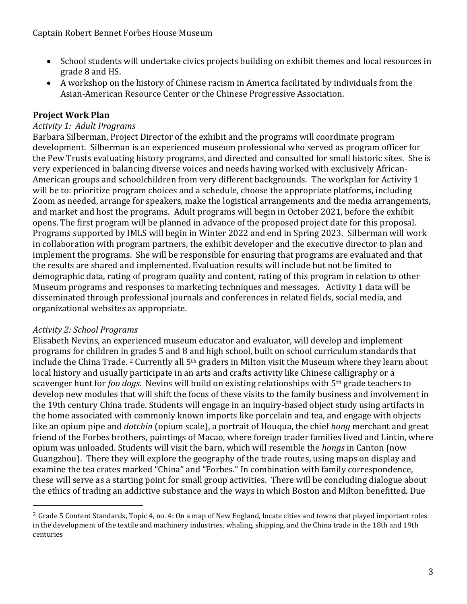- School students will undertake civics projects building on exhibit themes and local resources in grade 8 and HS.
- A workshop on the history of Chinese racism in America facilitated by individuals from the Asian-American Resource Center or the Chinese Progressive Association.

# **Project Work Plan**

#### *Activity 1: Adult Programs*

Barbara Silberman, Project Director of the exhibit and the programs will coordinate program development. Silberman is an experienced museum professional who served as program officer for the Pew Trusts evaluating history programs, and directed and consulted for small historic sites. She is very experienced in balancing diverse voices and needs having worked with exclusively African-American groups and schoolchildren from very different backgrounds. The workplan for Activity 1 will be to: prioritize program choices and a schedule, choose the appropriate platforms, including Zoom as needed, arrange for speakers, make the logistical arrangements and the media arrangements, and market and host the programs. Adult programs will begin in October 2021, before the exhibit opens. The first program will be planned in advance of the proposed project date for this proposal. Programs supported by IMLS will begin in Winter 2022 and end in Spring 2023. Silberman will work in collaboration with program partners, the exhibit developer and the executive director to plan and implement the programs. She will be responsible for ensuring that programs are evaluated and that the results are shared and implemented. Evaluation results will include but not be limited to demographic data, rating of program quality and content, rating of this program in relation to other Museum programs and responses to marketing techniques and messages. Activity 1 data will be disseminated through professional journals and conferences in related fields, social media, and organizational websites as appropriate.

#### *Activity 2: School Programs*

 $\overline{a}$ 

Elisabeth Nevins, an experienced museum educator and evaluator, will develop and implement programs for children in grades 5 and 8 and high school, built on school curriculum standards that include the China Trade. <sup>2</sup> Currently all 5th graders in Milton visit the Museum where they learn about local history and usually participate in an arts and crafts activity like Chinese calligraphy or a scavenger hunt for *foo dogs*. Nevins will build on existing relationships with 5th grade teachers to develop new modules that will shift the focus of these visits to the family business and involvement in the 19th century China trade. Students will engage in an inquiry-based object study using artifacts in the home associated with commonly known imports like porcelain and tea, and engage with objects like an opium pipe and *dotchin* (opium scale), a portrait of Houqua, the chief *hong* merchant and great friend of the Forbes brothers, paintings of Macao, where foreign trader families lived and Lintin, where opium was unloaded. Students will visit the barn, which will resemble the *hongs* in Canton (now Guangzhou). There they will explore the geography of the trade routes, using maps on display and examine the tea crates marked "China" and "Forbes." In combination with family correspondence, these will serve as a starting point for small group activities. There will be concluding dialogue about the ethics of trading an addictive substance and the ways in which Boston and Milton benefitted. Due

<sup>&</sup>lt;sup>2</sup> Grade 5 Content Standards, Topic 4, no. 4: On a map of New England, locate cities and towns that played important roles in the development of the textile and machinery industries, whaling, shipping, and the China trade in the 18th and 19th centuries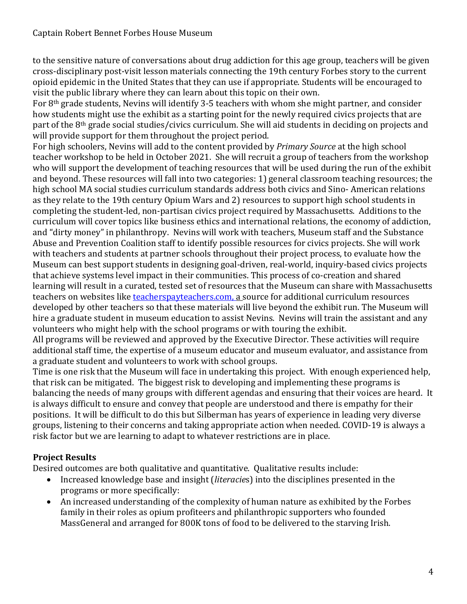to the sensitive nature of conversations about drug addiction for this age group, teachers will be given cross-disciplinary post-visit lesson materials connecting the 19th century Forbes story to the current opioid epidemic in the United States that they can use if appropriate. Students will be encouraged to visit the public library where they can learn about this topic on their own.

For 8th grade students, Nevins will identify 3-5 teachers with whom she might partner, and consider how students might use the exhibit as a starting point for the newly required civics projects that are part of the 8th grade social studies/civics curriculum. She will aid students in deciding on projects and will provide support for them throughout the project period.

For high schoolers, Nevins will add to the content provided by *Primary Source* at the high school teacher workshop to be held in October 2021. She will recruit a group of teachers from the workshop who will support the development of teaching resources that will be used during the run of the exhibit and beyond. These resources will fall into two categories: 1) general classroom teaching resources; the high school MA social studies curriculum standards address both civics and Sino- American relations as they relate to the 19th century Opium Wars and 2) resources to support high school students in completing the student-led, non-partisan civics project required by Massachusetts. Additions to the curriculum will cover topics like business ethics and international relations, the economy of addiction, and "dirty money" in philanthropy. Nevins will work with teachers, Museum staff and the Substance Abuse and Prevention Coalition staff to identify possible resources for civics projects. She will work with teachers and students at partner schools throughout their project process, to evaluate how the Museum can best support students in designing goal-driven, real-world, inquiry-based civics projects that achieve systems level impact in their communities. This process of co-creation and shared learning will result in a curated, tested set of resources that the Museum can share with Massachusetts teachers on websites like teacherspayteachers.com, a source for additional curriculum resources developed by other teachers so that these materials will live beyond the exhibit run. The Museum will hire a graduate student in museum education to assist Nevins. Nevins will train the assistant and any volunteers who might help with the school programs or with touring the exhibit.

All programs will be reviewed and approved by the Executive Director. These activities will require additional staff time, the expertise of a museum educator and museum evaluator, and assistance from a graduate student and volunteers to work with school groups.

Time is one risk that the Museum will face in undertaking this project. With enough experienced help, that risk can be mitigated. The biggest risk to developing and implementing these programs is balancing the needs of many groups with different agendas and ensuring that their voices are heard. It is always difficult to ensure and convey that people are understood and there is empathy for their positions. It will be difficult to do this but Silberman has years of experience in leading very diverse groups, listening to their concerns and taking appropriate action when needed. COVID-19 is always a risk factor but we are learning to adapt to whatever restrictions are in place.

# **Project Results**

Desired outcomes are both qualitative and quantitative. Qualitative results include:

- Increased knowledge base and insight (*literacie*s) into the disciplines presented in the programs or more specifically:
- An increased understanding of the complexity of human nature as exhibited by the Forbes family in their roles as opium profiteers and philanthropic supporters who founded MassGeneral and arranged for 800K tons of food to be delivered to the starving Irish.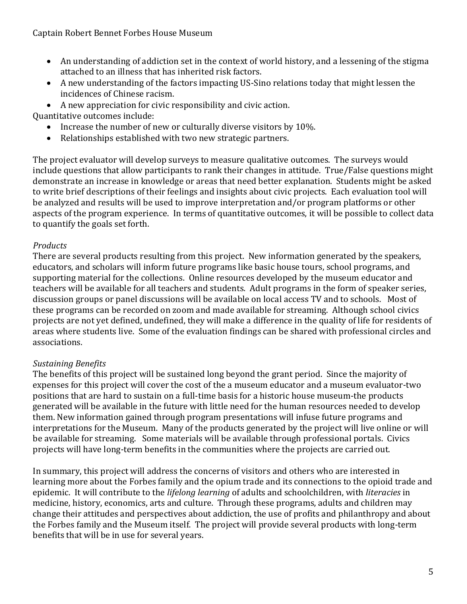Captain Robert Bennet Forbes House Museum

- An understanding of addiction set in the context of world history, and a lessening of the stigma attached to an illness that has inherited risk factors.
- A new understanding of the factors impacting US-Sino relations today that might lessen the incidences of Chinese racism.
- A new appreciation for civic responsibility and civic action.

Quantitative outcomes include:

- Increase the number of new or culturally diverse visitors by 10%.
- Relationships established with two new strategic partners.

The project evaluator will develop surveys to measure qualitative outcomes. The surveys would include questions that allow participants to rank their changes in attitude. True/False questions might demonstrate an increase in knowledge or areas that need better explanation. Students might be asked to write brief descriptions of their feelings and insights about civic projects. Each evaluation tool will be analyzed and results will be used to improve interpretation and/or program platforms or other aspects of the program experience. In terms of quantitative outcomes, it will be possible to collect data to quantify the goals set forth.

# *Products*

There are several products resulting from this project. New information generated by the speakers, educators, and scholars will inform future programs like basic house tours, school programs, and supporting material for the collections. Online resources developed by the museum educator and teachers will be available for all teachers and students. Adult programs in the form of speaker series, discussion groups or panel discussions will be available on local access TV and to schools. Most of these programs can be recorded on zoom and made available for streaming. Although school civics projects are not yet defined, undefined, they will make a difference in the quality of life for residents of areas where students live. Some of the evaluation findings can be shared with professional circles and associations.

# *Sustaining Benefits*

The benefits of this project will be sustained long beyond the grant period. Since the majority of expenses for this project will cover the cost of the a museum educator and a museum evaluator-two positions that are hard to sustain on a full-time basis for a historic house museum-the products generated will be available in the future with little need for the human resources needed to develop them. New information gained through program presentations will infuse future programs and interpretations for the Museum. Many of the products generated by the project will live online or will be available for streaming. Some materials will be available through professional portals. Civics projects will have long-term benefits in the communities where the projects are carried out.

In summary, this project will address the concerns of visitors and others who are interested in learning more about the Forbes family and the opium trade and its connections to the opioid trade and epidemic. It will contribute to the *lifelong learning* of adults and schoolchildren, with *literacies* in medicine, history, economics, arts and culture. Through these programs, adults and children may change their attitudes and perspectives about addiction, the use of profits and philanthropy and about the Forbes family and the Museum itself. The project will provide several products with long-term benefits that will be in use for several years.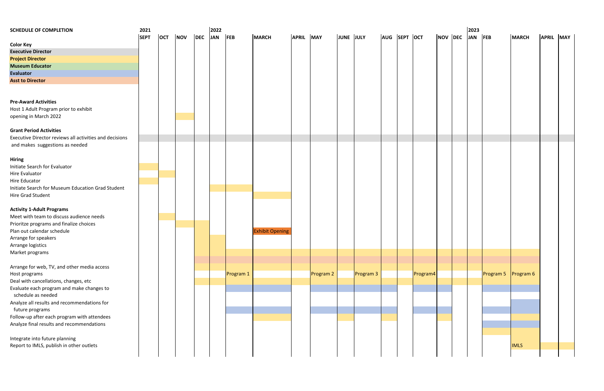| <b>SCHEDULE OF COMPLETION</b>                           | 2021        |     |            | 2022        |           | 2023                   |           |           |           |           |              |  |          |         |  |         |           |                  |           |  |
|---------------------------------------------------------|-------------|-----|------------|-------------|-----------|------------------------|-----------|-----------|-----------|-----------|--------------|--|----------|---------|--|---------|-----------|------------------|-----------|--|
|                                                         | <b>SEPT</b> | OCT | <b>NOV</b> | DEC JAN FEB |           | <b>MARCH</b>           | APRIL MAY |           | JUNE JULY |           | AUG SEPT OCT |  |          | NOV DEC |  | JAN FEB |           | <b>MARCH</b>     | APRIL MAY |  |
| <b>Color Key</b>                                        |             |     |            |             |           |                        |           |           |           |           |              |  |          |         |  |         |           |                  |           |  |
| <b>Executive Director</b>                               |             |     |            |             |           |                        |           |           |           |           |              |  |          |         |  |         |           |                  |           |  |
| <b>Project Director</b>                                 |             |     |            |             |           |                        |           |           |           |           |              |  |          |         |  |         |           |                  |           |  |
| <b>Museum Educator</b>                                  |             |     |            |             |           |                        |           |           |           |           |              |  |          |         |  |         |           |                  |           |  |
| <b>Evaluator</b>                                        |             |     |            |             |           |                        |           |           |           |           |              |  |          |         |  |         |           |                  |           |  |
| <b>Asst to Director</b>                                 |             |     |            |             |           |                        |           |           |           |           |              |  |          |         |  |         |           |                  |           |  |
|                                                         |             |     |            |             |           |                        |           |           |           |           |              |  |          |         |  |         |           |                  |           |  |
|                                                         |             |     |            |             |           |                        |           |           |           |           |              |  |          |         |  |         |           |                  |           |  |
| <b>Pre-Award Activities</b>                             |             |     |            |             |           |                        |           |           |           |           |              |  |          |         |  |         |           |                  |           |  |
| Host 1 Adult Program prior to exhibit                   |             |     |            |             |           |                        |           |           |           |           |              |  |          |         |  |         |           |                  |           |  |
| opening in March 2022                                   |             |     |            |             |           |                        |           |           |           |           |              |  |          |         |  |         |           |                  |           |  |
|                                                         |             |     |            |             |           |                        |           |           |           |           |              |  |          |         |  |         |           |                  |           |  |
| <b>Grant Period Activities</b>                          |             |     |            |             |           |                        |           |           |           |           |              |  |          |         |  |         |           |                  |           |  |
| Executive Director reviews all activities and decisions |             |     |            |             |           |                        |           |           |           |           |              |  |          |         |  |         |           |                  |           |  |
| and makes suggestions as needed                         |             |     |            |             |           |                        |           |           |           |           |              |  |          |         |  |         |           |                  |           |  |
|                                                         |             |     |            |             |           |                        |           |           |           |           |              |  |          |         |  |         |           |                  |           |  |
| <b>Hiring</b>                                           |             |     |            |             |           |                        |           |           |           |           |              |  |          |         |  |         |           |                  |           |  |
| Initiate Search for Evaluator                           |             |     |            |             |           |                        |           |           |           |           |              |  |          |         |  |         |           |                  |           |  |
| Hire Evaluator                                          |             |     |            |             |           |                        |           |           |           |           |              |  |          |         |  |         |           |                  |           |  |
| Hire Educator                                           |             |     |            |             |           |                        |           |           |           |           |              |  |          |         |  |         |           |                  |           |  |
| Initiate Search for Museum Education Grad Student       |             |     |            |             |           |                        |           |           |           |           |              |  |          |         |  |         |           |                  |           |  |
| Hire Grad Student                                       |             |     |            |             |           |                        |           |           |           |           |              |  |          |         |  |         |           |                  |           |  |
|                                                         |             |     |            |             |           |                        |           |           |           |           |              |  |          |         |  |         |           |                  |           |  |
| <b>Activity 1-Adult Programs</b>                        |             |     |            |             |           |                        |           |           |           |           |              |  |          |         |  |         |           |                  |           |  |
| Meet with team to discuss audience needs                |             |     |            |             |           |                        |           |           |           |           |              |  |          |         |  |         |           |                  |           |  |
| Prioritze programs and finalize choices                 |             |     |            |             |           |                        |           |           |           |           |              |  |          |         |  |         |           |                  |           |  |
| Plan out calendar schedule                              |             |     |            |             |           | <b>Exhibit Opening</b> |           |           |           |           |              |  |          |         |  |         |           |                  |           |  |
| Arrange for speakers                                    |             |     |            |             |           |                        |           |           |           |           |              |  |          |         |  |         |           |                  |           |  |
| Arrange logistics                                       |             |     |            |             |           |                        |           |           |           |           |              |  |          |         |  |         |           |                  |           |  |
| Market programs                                         |             |     |            |             |           |                        |           |           |           |           |              |  |          |         |  |         |           |                  |           |  |
| Arrange for web, TV, and other media access             |             |     |            |             |           |                        |           |           |           |           |              |  |          |         |  |         |           |                  |           |  |
|                                                         |             |     |            |             |           |                        |           |           |           |           |              |  |          |         |  |         |           |                  |           |  |
| Host programs                                           |             |     |            |             | Program 1 |                        |           | Program 2 |           | Program 3 |              |  | Program4 |         |  |         | Program 5 | <b>Program 6</b> |           |  |
| Deal with cancellations, changes, etc                   |             |     |            |             |           |                        |           |           |           |           |              |  |          |         |  |         |           |                  |           |  |
| Evaluate each program and make changes to               |             |     |            |             |           |                        |           |           |           |           |              |  |          |         |  |         |           |                  |           |  |
| schedule as needed                                      |             |     |            |             |           |                        |           |           |           |           |              |  |          |         |  |         |           |                  |           |  |
| Analyze all results and recommendations for             |             |     |            |             |           |                        |           |           |           |           |              |  |          |         |  |         |           |                  |           |  |
| future programs                                         |             |     |            |             |           |                        |           |           |           |           |              |  |          |         |  |         |           |                  |           |  |
| Follow-up after each program with attendees             |             |     |            |             |           |                        |           |           |           |           |              |  |          |         |  |         |           |                  |           |  |
| Analyze final results and recommendations               |             |     |            |             |           |                        |           |           |           |           |              |  |          |         |  |         |           |                  |           |  |
|                                                         |             |     |            |             |           |                        |           |           |           |           |              |  |          |         |  |         |           |                  |           |  |
| Integrate into future planning                          |             |     |            |             |           |                        |           |           |           |           |              |  |          |         |  |         |           |                  |           |  |
| Report to IMLS, publish in other outlets                |             |     |            |             |           |                        |           |           |           |           |              |  |          |         |  |         |           | <b>IMLS</b>      |           |  |
|                                                         |             |     |            |             |           |                        |           |           |           |           |              |  |          |         |  |         |           |                  |           |  |